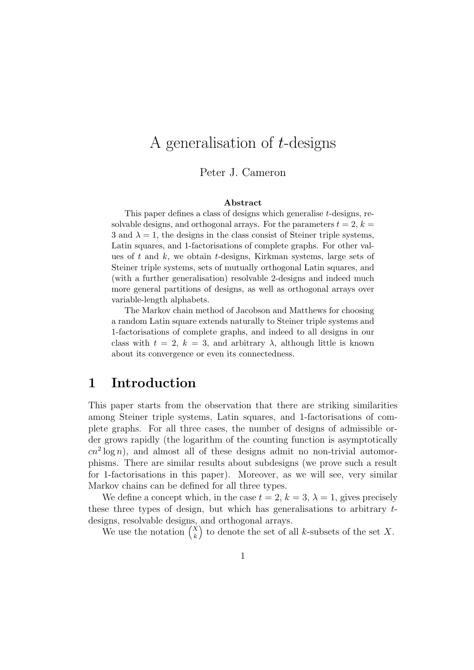# A generalisation of t-designs

### Peter J. Cameron

#### Abstract

This paper defines a class of designs which generalise t-designs, resolvable designs, and orthogonal arrays. For the parameters  $t = 2$ ,  $k =$ 3 and  $\lambda = 1$ , the designs in the class consist of Steiner triple systems, Latin squares, and 1-factorisations of complete graphs. For other values of  $t$  and  $k$ , we obtain  $t$ -designs, Kirkman systems, large sets of Steiner triple systems, sets of mutually orthogonal Latin squares, and (with a further generalisation) resolvable 2-designs and indeed much more general partitions of designs, as well as orthogonal arrays over variable-length alphabets.

The Markov chain method of Jacobson and Matthews for choosing a random Latin square extends naturally to Steiner triple systems and 1-factorisations of complete graphs, and indeed to all designs in our class with  $t = 2$ ,  $k = 3$ , and arbitrary  $\lambda$ , although little is known about its convergence or even its connectedness.

## 1 Introduction

This paper starts from the observation that there are striking similarities among Steiner triple systems, Latin squares, and 1-factorisations of complete graphs. For all three cases, the number of designs of admissible order grows rapidly (the logarithm of the counting function is asymptotically  $cn^2 \log n$ , and almost all of these designs admit no non-trivial automorphisms. There are similar results about subdesigns (we prove such a result for 1-factorisations in this paper). Moreover, as we will see, very similar Markov chains can be defined for all three types.

We define a concept which, in the case  $t = 2$ ,  $k = 3$ ,  $\lambda = 1$ , gives precisely these three types of design, but which has generalisations to arbitrary tdesigns, resolvable designs, and orthogonal arrays.

We use the notation  $\binom{X}{k}$ k ) to denote the set of all  $k$ -subsets of the set  $X$ .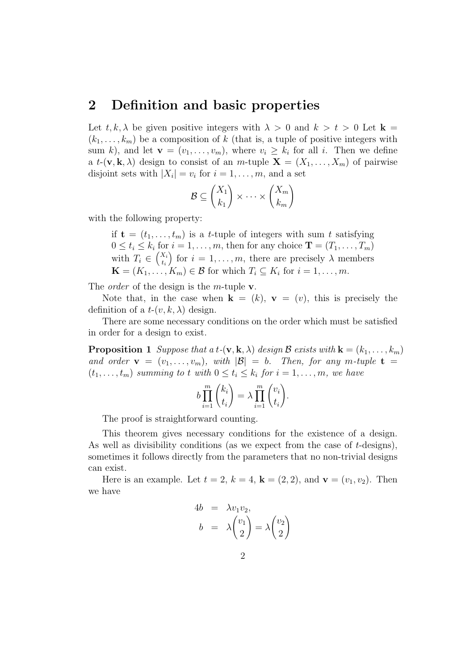## 2 Definition and basic properties

Let  $t, k, \lambda$  be given positive integers with  $\lambda > 0$  and  $k > t > 0$  Let  $\mathbf{k} =$  $(k_1, \ldots, k_m)$  be a composition of k (that is, a tuple of positive integers with sum k), and let  $\mathbf{v} = (v_1, \dots, v_m)$ , where  $v_i \geq k_i$  for all i. Then we define a  $t$ -(**v**, **k**,  $\lambda$ ) design to consist of an m-tuple  $\mathbf{X} = (X_1, \ldots, X_m)$  of pairwise disjoint sets with  $|X_i| = v_i$  for  $i = 1, ..., m$ , and a set

$$
\mathcal{B} \subseteq \binom{X_1}{k_1} \times \cdots \times \binom{X_m}{k_m}
$$

with the following property:

if  $\mathbf{t} = (t_1, \ldots, t_m)$  is a t-tuple of integers with sum t satisfying  $0 \leq t_i \leq k_i$  for  $i = 1, \ldots, m$ , then for any choice  $\mathbf{T} = (T_1, \ldots, T_m)$ with  $T_i \in \binom{X_i}{t_i}$  $t_i$ for  $i = 1, \ldots, m$ , there are precisely  $\lambda$  members  $\mathbf{K} = (K_1, \ldots, K_m) \in \mathcal{B}$  for which  $T_i \subseteq K_i$  for  $i = 1, \ldots, m$ .

The *order* of the design is the *m*-tuple **v**.

Note that, in the case when  $\mathbf{k} = (k)$ ,  $\mathbf{v} = (v)$ , this is precisely the definition of a  $t-(v, k, \lambda)$  design.

There are some necessary conditions on the order which must be satisfied in order for a design to exist.

**Proposition 1** Suppose that a t-(**v**, **k**,  $\lambda$ ) design  $\mathcal{B}$  exists with  $\mathbf{k} = (k_1, \ldots, k_m)$ and order  $\mathbf{v} = (v_1, \ldots, v_m)$ , with  $|\mathcal{B}| = b$ . Then, for any m-tuple  $\mathbf{t} =$  $(t_1, \ldots, t_m)$  summing to t with  $0 \le t_i \le k_i$  for  $i = 1, \ldots, m$ , we have

$$
b\prod_{i=1}^m {k_i \choose t_i} = \lambda \prod_{i=1}^m {v_i \choose t_i}.
$$

The proof is straightforward counting.

This theorem gives necessary conditions for the existence of a design. As well as divisibility conditions (as we expect from the case of t-designs), sometimes it follows directly from the parameters that no non-trivial designs can exist.

Here is an example. Let  $t = 2$ ,  $k = 4$ ,  $k = (2, 2)$ , and  $\mathbf{v} = (v_1, v_2)$ . Then we have

$$
4b = \lambda v_1 v_2,
$$
  
\n
$$
b = \lambda \binom{v_1}{2} = \lambda \binom{v_2}{2}
$$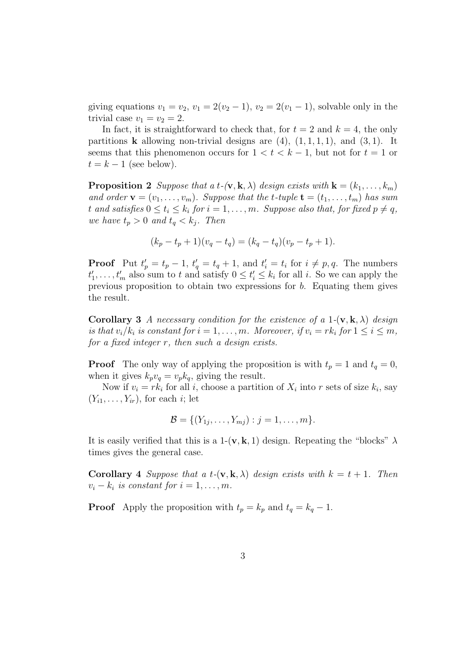giving equations  $v_1 = v_2$ ,  $v_1 = 2(v_2 - 1)$ ,  $v_2 = 2(v_1 - 1)$ , solvable only in the trivial case  $v_1 = v_2 = 2$ .

In fact, it is straightforward to check that, for  $t = 2$  and  $k = 4$ , the only partitions **k** allowing non-trivial designs are  $(4)$ ,  $(1, 1, 1, 1)$ , and  $(3, 1)$ . It seems that this phenomenon occurs for  $1 < t < k - 1$ , but not for  $t = 1$  or  $t = k - 1$  (see below).

**Proposition 2** Suppose that a t-(**v**, **k**,  $\lambda$ ) design exists with  $\mathbf{k} = (k_1, \ldots, k_m)$ and order  $\mathbf{v} = (v_1, \ldots, v_m)$ . Suppose that the t-tuple  $\mathbf{t} = (t_1, \ldots, t_m)$  has sum t and satisfies  $0 \le t_i \le k_i$  for  $i = 1, \ldots, m$ . Suppose also that, for fixed  $p \ne q$ , we have  $t_p > 0$  and  $t_q < k_i$ . Then

$$
(k_p - t_p + 1)(v_q - t_q) = (k_q - t_q)(v_p - t_p + 1).
$$

**Proof** Put  $t'_p = t_p - 1$ ,  $t'_q = t_q + 1$ , and  $t'_i = t_i$  for  $i \neq p, q$ . The numbers  $t'_1, \ldots, t'_m$  also sum to t and satisfy  $0 \le t'_i \le k_i$  for all i. So we can apply the previous proposition to obtain two expressions for b. Equating them gives the result.

**Corollary 3** A necessary condition for the existence of a 1- $(v, k, \lambda)$  design is that  $v_i/k_i$  is constant for  $i = 1, \ldots, m$ . Moreover, if  $v_i = rk_i$  for  $1 \le i \le m$ , for a fixed integer r, then such a design exists.

**Proof** The only way of applying the proposition is with  $t_p = 1$  and  $t_q = 0$ , when it gives  $k_p v_q = v_p k_q$ , giving the result.

Now if  $v_i = rk_i$  for all i, choose a partition of  $X_i$  into r sets of size  $k_i$ , say  $(Y_{i1},\ldots,Y_{ir})$ , for each *i*; let

$$
\mathcal{B} = \{ (Y_{1j}, \ldots, Y_{mj}) : j = 1, \ldots, m \}.
$$

It is easily verified that this is a 1-(**v**, **k**, 1) design. Repeating the "blocks"  $\lambda$ times gives the general case.

**Corollary 4** Suppose that a  $t$ - $(\mathbf{v}, \mathbf{k}, \lambda)$  design exists with  $k = t + 1$ . Then  $v_i - k_i$  is constant for  $i = 1, \ldots, m$ .

**Proof** Apply the proposition with  $t_p = k_p$  and  $t_q = k_q - 1$ .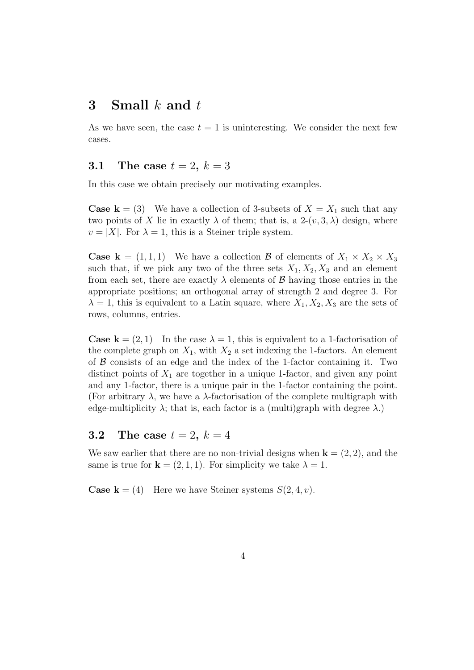### 3 Small  $k$  and  $t$

As we have seen, the case  $t = 1$  is uninteresting. We consider the next few cases.

### 3.1 The case  $t = 2, k = 3$

In this case we obtain precisely our motivating examples.

**Case k** = (3) We have a collection of 3-subsets of  $X = X_1$  such that any two points of X lie in exactly  $\lambda$  of them; that is, a 2- $(v, 3, \lambda)$  design, where  $v = |X|$ . For  $\lambda = 1$ , this is a Steiner triple system.

**Case k** =  $(1, 1, 1)$  We have a collection **B** of elements of  $X_1 \times X_2 \times X_3$ such that, if we pick any two of the three sets  $X_1, X_2, X_3$  and an element from each set, there are exactly  $\lambda$  elements of  $\beta$  having those entries in the appropriate positions; an orthogonal array of strength 2 and degree 3. For  $\lambda = 1$ , this is equivalent to a Latin square, where  $X_1, X_2, X_3$  are the sets of rows, columns, entries.

**Case k** =  $(2, 1)$  In the case  $\lambda = 1$ , this is equivalent to a 1-factorisation of the complete graph on  $X_1$ , with  $X_2$  a set indexing the 1-factors. An element of  $\beta$  consists of an edge and the index of the 1-factor containing it. Two distinct points of  $X_1$  are together in a unique 1-factor, and given any point and any 1-factor, there is a unique pair in the 1-factor containing the point. (For arbitrary  $\lambda$ , we have a  $\lambda$ -factorisation of the complete multigraph with edge-multiplicity  $\lambda$ ; that is, each factor is a (multi)graph with degree  $\lambda$ .)

## **3.2** The case  $t = 2, k = 4$

We saw earlier that there are no non-trivial designs when  $\mathbf{k} = (2, 2)$ , and the same is true for  $\mathbf{k} = (2, 1, 1)$ . For simplicity we take  $\lambda = 1$ .

**Case k** = (4) Here we have Steiner systems  $S(2, 4, v)$ .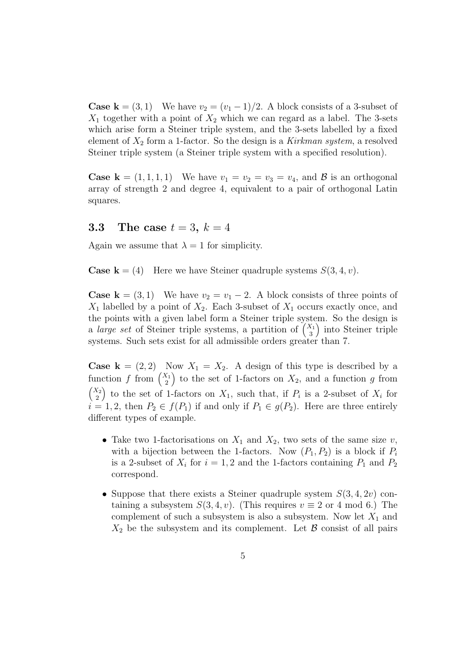**Case k** =  $(3, 1)$  We have  $v_2 = (v_1 - 1)/2$ . A block consists of a 3-subset of  $X_1$  together with a point of  $X_2$  which we can regard as a label. The 3-sets which arise form a Steiner triple system, and the 3-sets labelled by a fixed element of  $X_2$  form a 1-factor. So the design is a Kirkman system, a resolved Steiner triple system (a Steiner triple system with a specified resolution).

**Case k** =  $(1,1,1,1)$  We have  $v_1 = v_2 = v_3 = v_4$ , and **B** is an orthogonal array of strength 2 and degree 4, equivalent to a pair of orthogonal Latin squares.

### **3.3** The case  $t = 3, k = 4$

Again we assume that  $\lambda = 1$  for simplicity.

**Case k** = (4) Here we have Steiner quadruple systems  $S(3, 4, v)$ .

**Case k** = (3, 1) We have  $v_2 = v_1 - 2$ . A block consists of three points of  $X_1$  labelled by a point of  $X_2$ . Each 3-subset of  $X_1$  occurs exactly once, and the points with a given label form a Steiner triple system. So the design is a *large set* of Steiner triple systems, a partition of  $\binom{X_1}{3}$ 3 ) into Steiner triple systems. Such sets exist for all admissible orders greater than 7.

**Case k** =  $(2, 2)$  Now  $X_1 = X_2$ . A design of this type is described by a function f from  $\binom{X_1}{2}$ 2 ) to the set of 1-factors on  $X_2$ , and a function g from  $\big(X_2\big)$ 2 ) to the set of 1-factors on  $X_1$ , such that, if  $P_i$  is a 2-subset of  $X_i$  for  $i = 1, 2$ , then  $P_2 \in f(P_1)$  if and only if  $P_1 \in g(P_2)$ . Here are three entirely different types of example.

- Take two 1-factorisations on  $X_1$  and  $X_2$ , two sets of the same size v, with a bijection between the 1-factors. Now  $(P_1, P_2)$  is a block if  $P_i$ is a 2-subset of  $X_i$  for  $i = 1, 2$  and the 1-factors containing  $P_1$  and  $P_2$ correspond.
- Suppose that there exists a Steiner quadruple system  $S(3, 4, 2v)$  containing a subsystem  $S(3, 4, v)$ . (This requires  $v \equiv 2$  or 4 mod 6.) The complement of such a subsystem is also a subsystem. Now let  $X_1$  and  $X_2$  be the subsystem and its complement. Let  $\beta$  consist of all pairs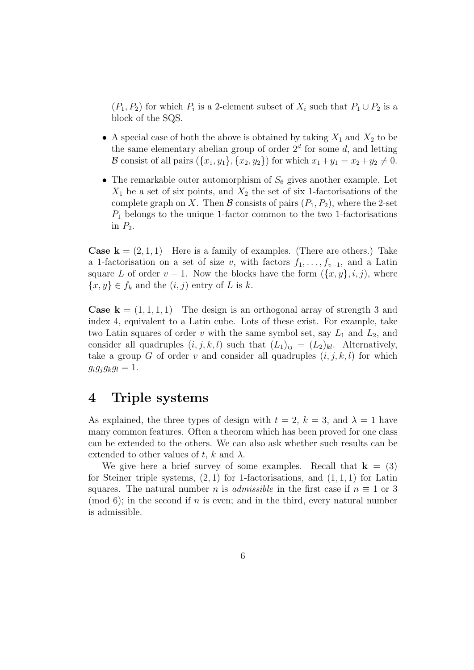$(P_1, P_2)$  for which  $P_i$  is a 2-element subset of  $X_i$  such that  $P_1 \cup P_2$  is a block of the SQS.

- A special case of both the above is obtained by taking  $X_1$  and  $X_2$  to be the same elementary abelian group of order  $2<sup>d</sup>$  for some d, and letting **B** consist of all pairs  $({x_1, y_1}, {x_2, y_2})$  for which  $x_1 + y_1 = x_2 + y_2 \neq 0$ .
- The remarkable outer automorphism of  $S_6$  gives another example. Let  $X_1$  be a set of six points, and  $X_2$  the set of six 1-factorisations of the complete graph on X. Then B consists of pairs  $(P_1, P_2)$ , where the 2-set  $P_1$  belongs to the unique 1-factor common to the two 1-factorisations in  $P_2$ .

**Case k** =  $(2, 1, 1)$  Here is a family of examples. (There are others.) Take a 1-factorisation on a set of size v, with factors  $f_1, \ldots, f_{v-1}$ , and a Latin square L of order  $v - 1$ . Now the blocks have the form  $({x, y}, i, j)$ , where  $\{x, y\} \in f_k$  and the  $(i, j)$  entry of L is k.

**Case k** =  $(1, 1, 1, 1)$  The design is an orthogonal array of strength 3 and index 4, equivalent to a Latin cube. Lots of these exist. For example, take two Latin squares of order v with the same symbol set, say  $L_1$  and  $L_2$ , and consider all quadruples  $(i, j, k, l)$  such that  $(L_1)_{ii} = (L_2)_{kl}$ . Alternatively, take a group G of order v and consider all quadruples  $(i, j, k, l)$  for which  $g_i g_j g_k g_l = 1.$ 

## 4 Triple systems

As explained, the three types of design with  $t = 2$ ,  $k = 3$ , and  $\lambda = 1$  have many common features. Often a theorem which has been proved for one class can be extended to the others. We can also ask whether such results can be extended to other values of t, k and  $\lambda$ .

We give here a brief survey of some examples. Recall that  $k = (3)$ for Steiner triple systems,  $(2, 1)$  for 1-factorisations, and  $(1, 1, 1)$  for Latin squares. The natural number n is *admissible* in the first case if  $n \equiv 1$  or 3 (mod 6); in the second if n is even; and in the third, every natural number is admissible.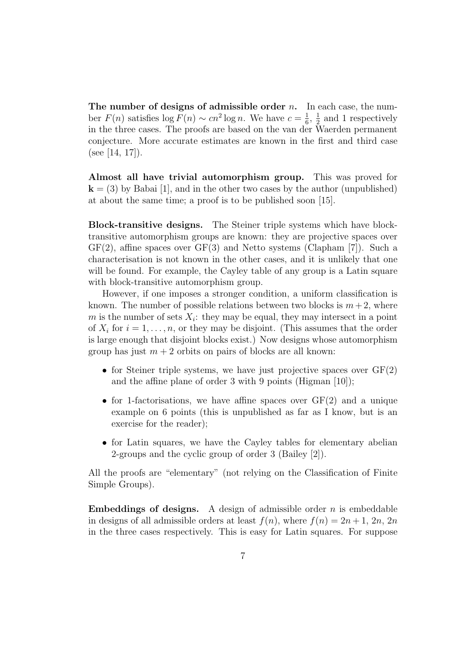The number of designs of admissible order  $n$ . In each case, the number  $F(n)$  satisfies  $\log F(n) \sim cn^2 \log n$ . We have  $c = \frac{1}{6}$  $\frac{1}{6}, \frac{1}{2}$  $\frac{1}{2}$  and 1 respectively in the three cases. The proofs are based on the van der Waerden permanent conjecture. More accurate estimates are known in the first and third case (see [14, 17]).

Almost all have trivial automorphism group. This was proved for  $k = (3)$  by Babai [1], and in the other two cases by the author (unpublished) at about the same time; a proof is to be published soon [15].

Block-transitive designs. The Steiner triple systems which have blocktransitive automorphism groups are known: they are projective spaces over  $GF(2)$ , affine spaces over  $GF(3)$  and Netto systems (Clapham [7]). Such a characterisation is not known in the other cases, and it is unlikely that one will be found. For example, the Cayley table of any group is a Latin square with block-transitive automorphism group.

However, if one imposes a stronger condition, a uniform classification is known. The number of possible relations between two blocks is  $m+2$ , where m is the number of sets  $X_i$ : they may be equal, they may intersect in a point of  $X_i$  for  $i = 1, \ldots, n$ , or they may be disjoint. (This assumes that the order is large enough that disjoint blocks exist.) Now designs whose automorphism group has just  $m + 2$  orbits on pairs of blocks are all known:

- for Steiner triple systems, we have just projective spaces over  $GF(2)$ and the affine plane of order 3 with 9 points (Higman [10]);
- for 1-factorisations, we have affine spaces over  $GF(2)$  and a unique example on 6 points (this is unpublished as far as I know, but is an exercise for the reader);
- for Latin squares, we have the Cayley tables for elementary abelian 2-groups and the cyclic group of order 3 (Bailey [2]).

All the proofs are "elementary" (not relying on the Classification of Finite Simple Groups).

**Embeddings of designs.** A design of admissible order  $n$  is embeddable in designs of all admissible orders at least  $f(n)$ , where  $f(n) = 2n + 1$ ,  $2n$ ,  $2n$ in the three cases respectively. This is easy for Latin squares. For suppose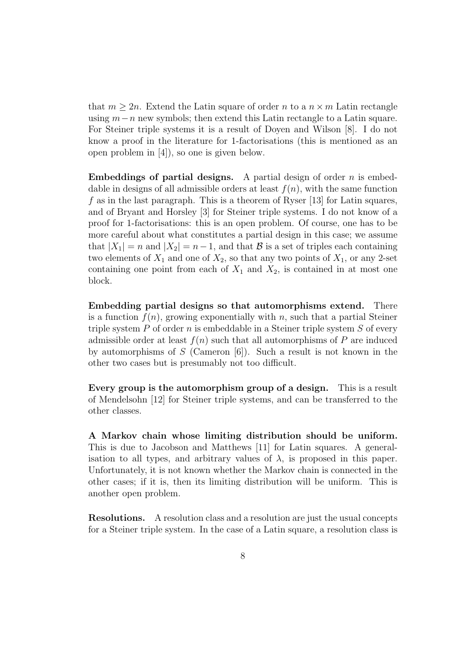that  $m \geq 2n$ . Extend the Latin square of order n to a  $n \times m$  Latin rectangle using  $m-n$  new symbols; then extend this Latin rectangle to a Latin square. For Steiner triple systems it is a result of Doyen and Wilson [8]. I do not know a proof in the literature for 1-factorisations (this is mentioned as an open problem in [4]), so one is given below.

**Embeddings of partial designs.** A partial design of order  $n$  is embeddable in designs of all admissible orders at least  $f(n)$ , with the same function f as in the last paragraph. This is a theorem of Ryser  $[13]$  for Latin squares, and of Bryant and Horsley [3] for Steiner triple systems. I do not know of a proof for 1-factorisations: this is an open problem. Of course, one has to be more careful about what constitutes a partial design in this case; we assume that  $|X_1| = n$  and  $|X_2| = n-1$ , and that  $\beta$  is a set of triples each containing two elements of  $X_1$  and one of  $X_2$ , so that any two points of  $X_1$ , or any 2-set containing one point from each of  $X_1$  and  $X_2$ , is contained in at most one block.

Embedding partial designs so that automorphisms extend. There is a function  $f(n)$ , growing exponentially with n, such that a partial Steiner triple system  $P$  of order  $n$  is embeddable in a Steiner triple system  $S$  of every admissible order at least  $f(n)$  such that all automorphisms of P are induced by automorphisms of  $S$  (Cameron [6]). Such a result is not known in the other two cases but is presumably not too difficult.

Every group is the automorphism group of a design. This is a result of Mendelsohn [12] for Steiner triple systems, and can be transferred to the other classes.

A Markov chain whose limiting distribution should be uniform. This is due to Jacobson and Matthews [11] for Latin squares. A generalisation to all types, and arbitrary values of  $\lambda$ , is proposed in this paper. Unfortunately, it is not known whether the Markov chain is connected in the other cases; if it is, then its limiting distribution will be uniform. This is another open problem.

Resolutions. A resolution class and a resolution are just the usual concepts for a Steiner triple system. In the case of a Latin square, a resolution class is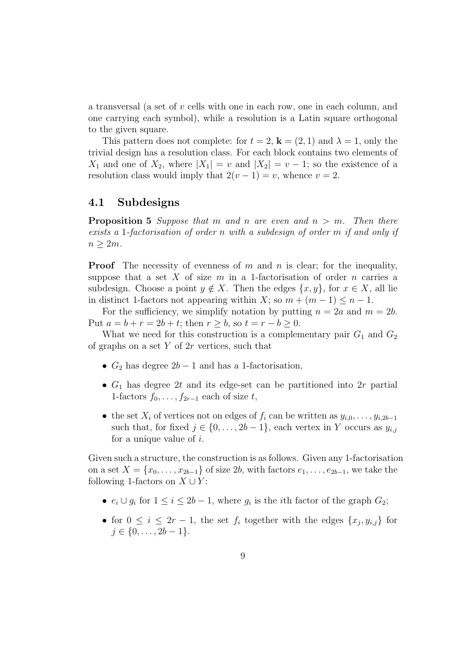a transversal (a set of v cells with one in each row, one in each column, and one carrying each symbol), while a resolution is a Latin square orthogonal to the given square.

This pattern does not complete: for  $t = 2$ ,  $\mathbf{k} = (2, 1)$  and  $\lambda = 1$ , only the trivial design has a resolution class. For each block contains two elements of  $X_1$  and one of  $X_2$ , where  $|X_1| = v$  and  $|X_2| = v - 1$ ; so the existence of a resolution class would imply that  $2(v-1) = v$ , whence  $v = 2$ .

### 4.1 Subdesigns

**Proposition 5** Suppose that m and n are even and  $n > m$ . Then there exists a 1-factorisation of order n with a subdesign of order m if and only if  $n \geq 2m$ .

**Proof** The necessity of evenness of m and n is clear; for the inequality, suppose that a set X of size  $m$  in a 1-factorisation of order  $n$  carries a subdesign. Choose a point  $y \notin X$ . Then the edges  $\{x, y\}$ , for  $x \in X$ , all lie in distinct 1-factors not appearing within X; so  $m + (m - 1) \leq n - 1$ .

For the sufficiency, we simplify notation by putting  $n = 2a$  and  $m = 2b$ . Put  $a = b + r = 2b + t$ ; then  $r \ge b$ , so  $t = r - b \ge 0$ .

What we need for this construction is a complementary pair  $G_1$  and  $G_2$ of graphs on a set  $Y$  of  $2r$  vertices, such that

- $G_2$  has degree  $2b-1$  and has a 1-factorisation,
- $G_1$  has degree 2t and its edge-set can be partitioned into 2r partial 1-factors  $f_0, \ldots, f_{2r-1}$  each of size t,
- the set  $X_i$  of vertices not on edges of  $f_i$  can be written as  $y_{i,0}, \ldots, y_{i,2b-1}$ such that, for fixed  $j \in \{0, \ldots, 2b-1\}$ , each vertex in Y occurs as  $y_{i,j}$ for a unique value of i.

Given such a structure, the construction is as follows. Given any 1-factorisation on a set  $X = \{x_0, \ldots, x_{2b-1}\}\$  of size 2b, with factors  $e_1, \ldots, e_{2b-1}$ , we take the following 1-factors on  $X \cup Y$ :

- $e_i \cup g_i$  for  $1 \leq i \leq 2b-1$ , where  $g_i$  is the *i*th factor of the graph  $G_2$ ;
- for  $0 \leq i \leq 2r 1$ , the set  $f_i$  together with the edges  $\{x_j, y_{i,j}\}$  for  $j \in \{0, \ldots, 2b - 1\}.$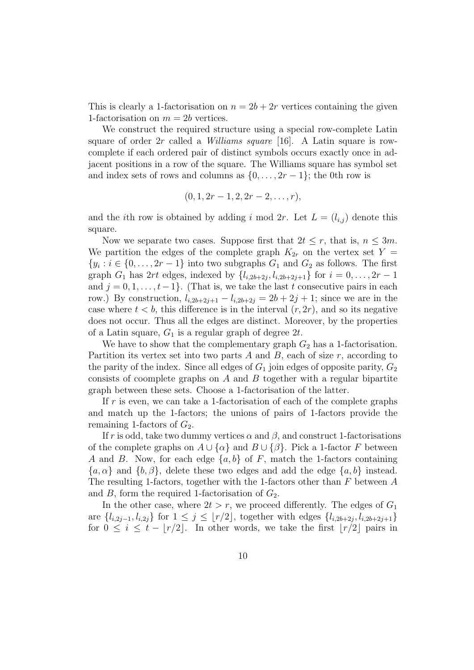This is clearly a 1-factorisation on  $n = 2b + 2r$  vertices containing the given 1-factorisation on  $m = 2b$  vertices.

We construct the required structure using a special row-complete Latin square of order  $2r$  called a *Williams square* [16]. A Latin square is rowcomplete if each ordered pair of distinct symbols occurs exactly once in adjacent positions in a row of the square. The Williams square has symbol set and index sets of rows and columns as  $\{0, \ldots, 2r-1\}$ ; the 0th row is

$$
(0, 1, 2r-1, 2, 2r-2, \ldots, r),
$$

and the *i*th row is obtained by adding *i* mod 2*r*. Let  $L = (l_{i,j})$  denote this square.

Now we separate two cases. Suppose first that  $2t \leq r$ , that is,  $n \leq 3m$ . We partition the edges of the complete graph  $K_{2r}$  on the vertex set  $Y =$  $\{y_i : i \in \{0, \ldots, 2r-1\}$  into two subgraphs  $G_1$  and  $G_2$  as follows. The first graph  $G_1$  has  $2rt$  edges, indexed by  $\{l_{i,2b+2j}, l_{i,2b+2j+1}\}$  for  $i = 0, ..., 2r - 1$ and  $j = 0, 1, \ldots, t-1$ . (That is, we take the last t consecutive pairs in each row.) By construction,  $l_{i,2b+2j+1} - l_{i,2b+2j} = 2b + 2j + 1$ ; since we are in the case where  $t < b$ , this difference is in the interval  $(r, 2r)$ , and so its negative does not occur. Thus all the edges are distinct. Moreover, by the properties of a Latin square,  $G_1$  is a regular graph of degree 2t.

We have to show that the complementary graph  $G_2$  has a 1-factorisation. Partition its vertex set into two parts  $A$  and  $B$ , each of size  $r$ , according to the parity of the index. Since all edges of  $G_1$  join edges of opposite parity,  $G_2$ consists of coomplete graphs on  $A$  and  $B$  together with a regular bipartite graph between these sets. Choose a 1-factorisation of the latter.

If  $r$  is even, we can take a 1-factorisation of each of the complete graphs and match up the 1-factors; the unions of pairs of 1-factors provide the remaining 1-factors of  $G_2$ .

If r is odd, take two dummy vertices  $\alpha$  and  $\beta$ , and construct 1-factorisations of the complete graphs on  $A \cup \{\alpha\}$  and  $B \cup \{\beta\}$ . Pick a 1-factor F between A and B. Now, for each edge  $\{a, b\}$  of F, match the 1-factors containing  ${a, \alpha}$  and  ${b, \beta}$ , delete these two edges and add the edge  ${a, b}$  instead. The resulting 1-factors, together with the 1-factors other than  $F$  between  $A$ and  $B$ , form the required 1-factorisation of  $G_2$ .

In the other case, where  $2t > r$ , we proceed differently. The edges of  $G_1$ are  $\{l_{i,2j-1}, l_{i,2j}\}$  for  $1 \leq j \leq \lfloor r/2 \rfloor$ , together with edges  $\{l_{i,2b+2j}, l_{i,2b+2j+1}\}$ for  $0 \leq i \leq t - |r/2|$ . In other words, we take the first  $|r/2|$  pairs in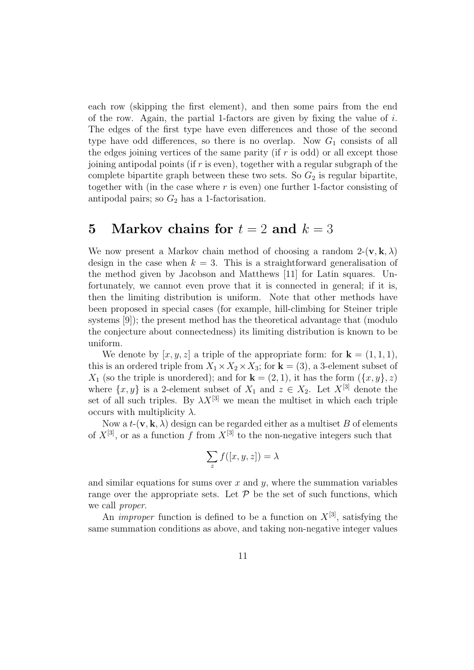each row (skipping the first element), and then some pairs from the end of the row. Again, the partial 1-factors are given by fixing the value of  $i$ . The edges of the first type have even differences and those of the second type have odd differences, so there is no overlap. Now  $G_1$  consists of all the edges joining vertices of the same parity (if  $r$  is odd) or all except those joining antipodal points (if r is even), together with a regular subgraph of the complete bipartite graph between these two sets. So  $G_2$  is regular bipartite, together with (in the case where  $r$  is even) one further 1-factor consisting of antipodal pairs; so  $G_2$  has a 1-factorisation.

## 5 Markov chains for  $t = 2$  and  $k = 3$

We now present a Markov chain method of choosing a random  $2-(\mathbf{v}, \mathbf{k}, \lambda)$ design in the case when  $k = 3$ . This is a straightforward generalisation of the method given by Jacobson and Matthews [11] for Latin squares. Unfortunately, we cannot even prove that it is connected in general; if it is, then the limiting distribution is uniform. Note that other methods have been proposed in special cases (for example, hill-climbing for Steiner triple systems [9]); the present method has the theoretical advantage that (modulo the conjecture about connectedness) its limiting distribution is known to be uniform.

We denote by  $[x, y, z]$  a triple of the appropriate form: for  $\mathbf{k} = (1, 1, 1)$ , this is an ordered triple from  $X_1 \times X_2 \times X_3$ ; for  $\mathbf{k} = (3)$ , a 3-element subset of  $X_1$  (so the triple is unordered); and for  $\mathbf{k} = (2, 1)$ , it has the form  $(\{x, y\}, z)$ where  $\{x, y\}$  is a 2-element subset of  $X_1$  and  $z \in X_2$ . Let  $X^{[3]}$  denote the set of all such triples. By  $\lambda X^{[3]}$  we mean the multiset in which each triple occurs with multiplicity  $\lambda$ .

Now a  $t-(\mathbf{v}, \mathbf{k}, \lambda)$  design can be regarded either as a multiset B of elements of  $X^{[3]}$ , or as a function f from  $X^{[3]}$  to the non-negative integers such that

$$
\sum_{z} f([x, y, z]) = \lambda
$$

and similar equations for sums over  $x$  and  $y$ , where the summation variables range over the appropriate sets. Let  $P$  be the set of such functions, which we call proper.

An *improper* function is defined to be a function on  $X^{[3]}$ , satisfying the same summation conditions as above, and taking non-negative integer values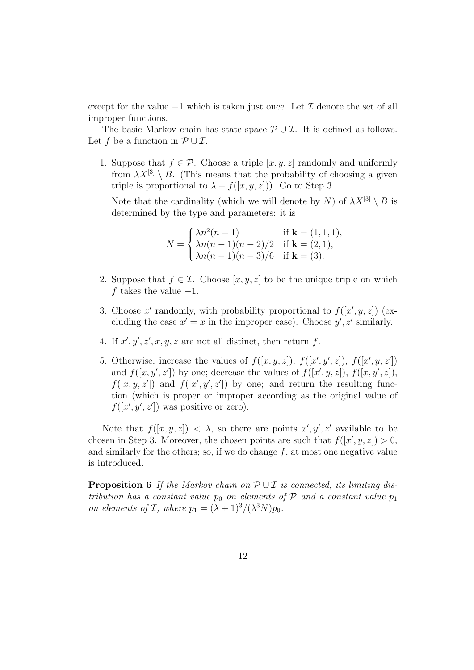except for the value  $-1$  which is taken just once. Let  $\mathcal I$  denote the set of all improper functions.

The basic Markov chain has state space  $\mathcal{P} \cup \mathcal{I}$ . It is defined as follows. Let f be a function in  $\mathcal{P} \cup \mathcal{I}$ .

1. Suppose that  $f \in \mathcal{P}$ . Choose a triple  $[x, y, z]$  randomly and uniformly from  $\lambda X^{3} \setminus B$ . (This means that the probability of choosing a given triple is proportional to  $\lambda - f([x, y, z])$ . Go to Step 3.

Note that the cardinality (which we will denote by N) of  $\lambda X^{[3]} \setminus B$  is determined by the type and parameters: it is

$$
N = \begin{cases} \lambda n^2(n-1) & \text{if } \mathbf{k} = (1,1,1), \\ \lambda n(n-1)(n-2)/2 & \text{if } \mathbf{k} = (2,1), \\ \lambda n(n-1)(n-3)/6 & \text{if } \mathbf{k} = (3). \end{cases}
$$

- 2. Suppose that  $f \in \mathcal{I}$ . Choose  $[x, y, z]$  to be the unique triple on which f takes the value  $-1$ .
- 3. Choose x' randomly, with probability proportional to  $f([x', y, z])$  (excluding the case  $x' = x$  in the improper case). Choose  $y', z'$  similarly.
- 4. If  $x', y', z', x, y, z$  are not all distinct, then return f.
- 5. Otherwise, increase the values of  $f([x, y, z])$ ,  $f([x', y', z])$ ,  $f([x', y, z'])$ and  $f([x, y', z'])$  by one; decrease the values of  $f([x', y, z])$ ,  $f([x, y', z])$ ,  $f([x, y, z'])$  and  $f([x', y', z'])$  by one; and return the resulting function (which is proper or improper according as the original value of  $f([x', y', z'])$  was positive or zero).

Note that  $f([x,y,z]) < \lambda$ , so there are points  $x', y', z'$  available to be chosen in Step 3. Moreover, the chosen points are such that  $f([x', y, z]) > 0$ , and similarly for the others; so, if we do change  $f$ , at most one negative value is introduced.

**Proposition 6** If the Markov chain on  $\mathcal{P} \cup \mathcal{I}$  is connected, its limiting distribution has a constant value  $p_0$  on elements of  $P$  and a constant value  $p_1$ on elements of *I*, where  $p_1 = (\lambda + 1)^3/(\lambda^3 N)p_0$ .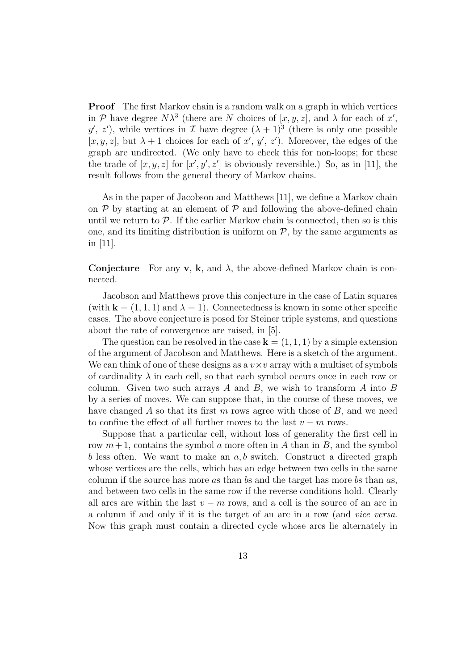**Proof** The first Markov chain is a random walk on a graph in which vertices in P have degree  $N\lambda^3$  (there are N choices of  $[x, y, z]$ , and  $\lambda$  for each of x', y', z'), while vertices in  $\mathcal I$  have degree  $(\lambda + 1)^3$  (there is only one possible [x, y, z], but  $\lambda + 1$  choices for each of x', y', z'). Moreover, the edges of the graph are undirected. (We only have to check this for non-loops; for these the trade of  $[x, y, z]$  for  $[x', y', z']$  is obviously reversible.) So, as in [11], the result follows from the general theory of Markov chains.

As in the paper of Jacobson and Matthews [11], we define a Markov chain on  $P$  by starting at an element of  $P$  and following the above-defined chain until we return to  $P$ . If the earlier Markov chain is connected, then so is this one, and its limiting distribution is uniform on  $P$ , by the same arguments as in [11].

**Conjecture** For any **v**, **k**, and  $\lambda$ , the above-defined Markov chain is connected.

Jacobson and Matthews prove this conjecture in the case of Latin squares (with  $\mathbf{k} = (1, 1, 1)$  and  $\lambda = 1$ ). Connectedness is known in some other specific cases. The above conjecture is posed for Steiner triple systems, and questions about the rate of convergence are raised, in [5].

The question can be resolved in the case  $\mathbf{k} = (1, 1, 1)$  by a simple extension of the argument of Jacobson and Matthews. Here is a sketch of the argument. We can think of one of these designs as a  $v \times v$  array with a multiset of symbols of cardinality  $\lambda$  in each cell, so that each symbol occurs once in each row or column. Given two such arrays  $A$  and  $B$ , we wish to transform  $A$  into  $B$ by a series of moves. We can suppose that, in the course of these moves, we have changed A so that its first  $m$  rows agree with those of  $B$ , and we need to confine the effect of all further moves to the last  $v - m$  rows.

Suppose that a particular cell, without loss of generality the first cell in row  $m+1$ , contains the symbol a more often in A than in B, and the symbol b less often. We want to make an  $a, b$  switch. Construct a directed graph whose vertices are the cells, which has an edge between two cells in the same column if the source has more as than bs and the target has more bs than as, and between two cells in the same row if the reverse conditions hold. Clearly all arcs are within the last  $v - m$  rows, and a cell is the source of an arc in a column if and only if it is the target of an arc in a row (and vice versa. Now this graph must contain a directed cycle whose arcs lie alternately in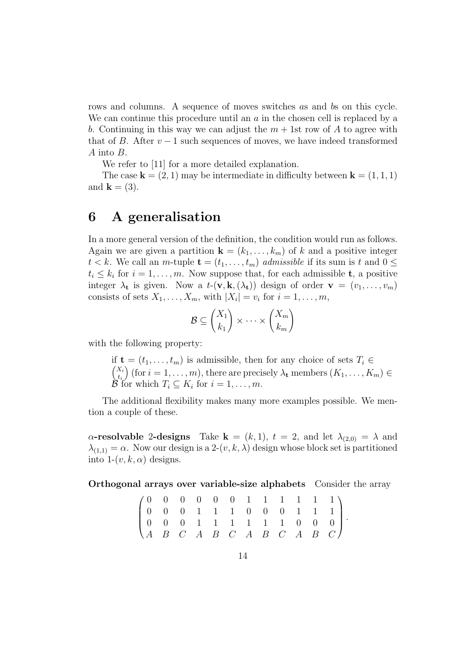rows and columns. A sequence of moves switches as and bs on this cycle. We can continue this procedure until an  $\alpha$  in the chosen cell is replaced by a b. Continuing in this way we can adjust the  $m + 1$ st row of A to agree with that of B. After  $v-1$  such sequences of moves, we have indeed transformed A into B.

We refer to [11] for a more detailed explanation.

The case  $\mathbf{k} = (2, 1)$  may be intermediate in difficulty between  $\mathbf{k} = (1, 1, 1)$ and  $\mathbf{k} = (3)$ .

## 6 A generalisation

In a more general version of the definition, the condition would run as follows. Again we are given a partition  $\mathbf{k} = (k_1, \ldots, k_m)$  of k and a positive integer  $t < k$ . We call an m-tuple  $\mathbf{t} = (t_1, \ldots, t_m)$  admissible if its sum is t and  $0 \leq$  $t_i \leq k_i$  for  $i = 1, \ldots, m$ . Now suppose that, for each admissible **t**, a positive integer  $\lambda_t$  is given. Now a  $t-(\mathbf{v}, \mathbf{k}, (\lambda_t))$  design of order  $\mathbf{v} = (v_1, \dots, v_m)$ consists of sets  $X_1, \ldots, X_m$ , with  $|X_i| = v_i$  for  $i = 1, \ldots, m$ ,

$$
\mathcal{B} \subseteq \binom{X_1}{k_1} \times \cdots \times \binom{X_m}{k_m}
$$

with the following property:

if  $\mathbf{t} = (t_1, \ldots, t_m)$  is admissible, then for any choice of sets  $T_i \in$  $\big(X_i\big)$  $t_i$ (for  $i = 1, \ldots, m$ ), there are precisely  $\lambda_t$  members  $(K_1, \ldots, K_m) \in$  $\mathcal{B}$  for which  $T_i \subseteq K_i$  for  $i = 1, \ldots, m$ .

The additional flexibility makes many more examples possible. We mention a couple of these.

 $\alpha$ -resolvable 2-designs Take  $\mathbf{k} = (k, 1), t = 2$ , and let  $\lambda_{(2,0)} = \lambda$  and  $\lambda_{(1,1)} = \alpha$ . Now our design is a 2- $(v, k, \lambda)$  design whose block set is partitioned into  $1-(v, k, \alpha)$  designs.

Orthogonal arrays over variable-size alphabets Consider the array

|  |  |  |  |  |  | $(0 \t 0 \t 0 \t 0 \t 0 \t 0 \t 1 \t 1 \t 1 \t 1 \t 1)$                       |  |
|--|--|--|--|--|--|-------------------------------------------------------------------------------|--|
|  |  |  |  |  |  | $\begin{bmatrix} 0 & 0 & 0 & 1 & 1 & 1 & 0 & 0 & 0 & 1 & 1 & 1 \end{bmatrix}$ |  |
|  |  |  |  |  |  | $\begin{bmatrix} 0 & 0 & 0 & 1 & 1 & 1 & 1 & 1 & 0 & 0 & 0 \end{bmatrix}$     |  |
|  |  |  |  |  |  | $\begin{pmatrix} A & B & C & A & B & C & A & B & C & A & B & C \end{pmatrix}$ |  |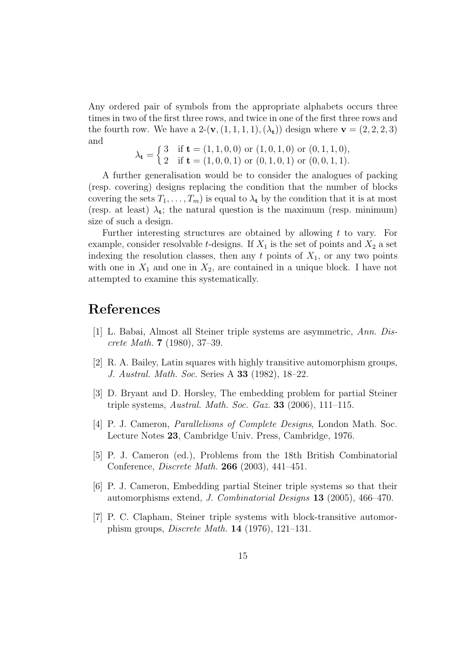Any ordered pair of symbols from the appropriate alphabets occurs three times in two of the first three rows, and twice in one of the first three rows and the fourth row. We have a  $2-(\mathbf{v},(1,1,1,1),(\lambda_t))$  design where  $\mathbf{v} = (2,2,2,3)$ and

$$
\lambda_{\mathbf{t}} = \begin{cases} 3 & \text{if } \mathbf{t} = (1, 1, 0, 0) \text{ or } (1, 0, 1, 0) \text{ or } (0, 1, 1, 0), \\ 2 & \text{if } \mathbf{t} = (1, 0, 0, 1) \text{ or } (0, 1, 0, 1) \text{ or } (0, 0, 1, 1). \end{cases}
$$

A further generalisation would be to consider the analogues of packing (resp. covering) designs replacing the condition that the number of blocks covering the sets  $T_1, \ldots, T_m$  is equal to  $\lambda_t$  by the condition that it is at most (resp. at least)  $\lambda_t$ ; the natural question is the maximum (resp. minimum) size of such a design.

Further interesting structures are obtained by allowing t to vary. For example, consider resolvable t-designs. If  $X_1$  is the set of points and  $X_2$  a set indexing the resolution classes, then any  $t$  points of  $X_1$ , or any two points with one in  $X_1$  and one in  $X_2$ , are contained in a unique block. I have not attempted to examine this systematically.

## References

- [1] L. Babai, Almost all Steiner triple systems are asymmetric, Ann. Discrete Math. 7 (1980), 37–39.
- [2] R. A. Bailey, Latin squares with highly transitive automorphism groups, J. Austral. Math. Soc. Series A 33 (1982), 18–22.
- [3] D. Bryant and D. Horsley, The embedding problem for partial Steiner triple systems, Austral. Math. Soc. Gaz.  $33$  (2006), 111–115.
- [4] P. J. Cameron, Parallelisms of Complete Designs, London Math. Soc. Lecture Notes 23, Cambridge Univ. Press, Cambridge, 1976.
- [5] P. J. Cameron (ed.), Problems from the 18th British Combinatorial Conference, Discrete Math. 266 (2003), 441–451.
- [6] P. J. Cameron, Embedding partial Steiner triple systems so that their automorphisms extend, J. Combinatorial Designs 13 (2005), 466–470.
- [7] P. C. Clapham, Steiner triple systems with block-transitive automorphism groups, Discrete Math. 14 (1976), 121–131.